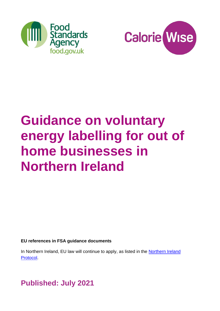



# **Guidance on voluntary energy labelling for out of home businesses in Northern Ireland**

**EU references in FSA guidance documents** 

In Northern Ireland, EU law will continue to apply, as listed in the Northern Ireland [Protocol.](https://www.gov.uk/government/publications/new-protocol-on-irelandnorthern-ireland-and-political-declaration)

**Published: July 2021**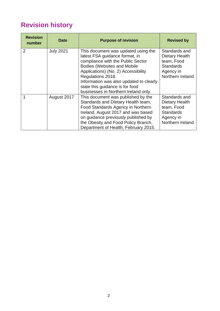# **Revision history**

| <b>Revision</b><br>number | <b>Date</b>      | <b>Purpose of revision</b>                                                                                                                                                                                                                                                                                                         | <b>Revised by</b>                                                                                  |
|---------------------------|------------------|------------------------------------------------------------------------------------------------------------------------------------------------------------------------------------------------------------------------------------------------------------------------------------------------------------------------------------|----------------------------------------------------------------------------------------------------|
| $\overline{2}$            | <b>July 2021</b> | This document was updated using the<br>latest FSA guidance format, in<br>compliance with the Public Sector<br><b>Bodies (Websites and Mobile</b><br>Applications) (No. 2) Accessibility<br>Regulations 2018.<br>Information was also updated to clearly<br>state this guidance is for food<br>businesses in Northern Ireland only. | Standards and<br>Dietary Health<br>team, Food<br><b>Standards</b><br>Agency in<br>Northern Ireland |
|                           | August 2017      | This document was published by the<br>Standards and Dietary Health team,<br>Food Standards Agency in Northern<br>Ireland, August 2017 and was based<br>on guidance previously published by<br>the Obesity and Food Policy Branch,<br>Department of Health, February 2015.                                                          | Standards and<br>Dietary Health<br>team, Food<br><b>Standards</b><br>Agency in<br>Northern Ireland |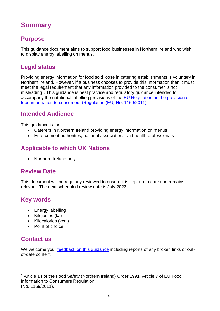# <span id="page-2-0"></span>**Summary**

# **Purpose**

This guidance document aims to support food businesses in Northern Ireland who wish to display energy labelling on menus.

# **Legal status**

Providing energy information for food sold loose in catering establishments is voluntary in Northern Ireland. However, if a business chooses to provide this information then it must meet the legal requirement that any information provided to the consumer is not misleading<sup>1</sup>. This guidance is best practice and regulatory guidance intended to accompany the nutritional labelling provisions of the [EU Regulation on the provision of](https://eur-lex.europa.eu/legal-content/EN/ALL/?uri=CELEX%3A32011R1169)  [food information to consumers \(Regulation \(EU\) No. 1169/2011\).](https://eur-lex.europa.eu/legal-content/EN/ALL/?uri=CELEX%3A32011R1169)

# **Intended Audience**

This guidance is for:

- Caterers in Northern Ireland providing energy information on menus
- Enforcement authorities, national associations and health professionals

# **Applicable to which UK Nations**

• Northern Ireland only

## **Review Date**

This document will be regularly reviewed to ensure it is kept up to date and remains relevant. The next scheduled review date is July 2023.

# **Key words**

- Energy labelling
- Kilojoules (kJ)
- Kilocalories (kcal)
- Point of choice

## **Contact us**

We welcome your feedback on this quidance including reports of any broken links or outof-date content.

<sup>1</sup> Article 14 of the Food Safety (Northern Ireland) Order 1991, Article 7 of EU Food Information to Consumers Regulation (No. 1169/2011).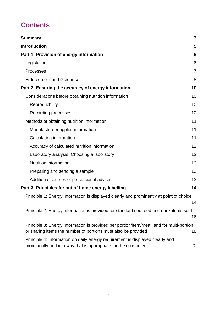# **Contents**

| <b>Summary</b>                                                                                                                                            | 3              |
|-----------------------------------------------------------------------------------------------------------------------------------------------------------|----------------|
| <b>Introduction</b>                                                                                                                                       | 5              |
| Part 1: Provision of energy information                                                                                                                   | 6              |
| Legislation                                                                                                                                               | 6              |
| <b>Processes</b>                                                                                                                                          | $\overline{7}$ |
| <b>Enforcement and Guidance</b>                                                                                                                           | 8              |
| Part 2: Ensuring the accuracy of energy information                                                                                                       | 10             |
| Considerations before obtaining nutrition information                                                                                                     | 10             |
| Reproducbility                                                                                                                                            | 10             |
| Recording processes                                                                                                                                       | 10             |
| Methods of obtaining nutrition information                                                                                                                | 11             |
| Manufacturer/supplier information                                                                                                                         | 11             |
| Calculating information                                                                                                                                   | 11             |
| Accuracy of calculated nutrition information                                                                                                              | 12             |
| Laboratory analysis: Choosing a laboratory                                                                                                                | 12             |
| <b>Nutrition information</b>                                                                                                                              | 13             |
| Preparing and sending a sample                                                                                                                            | 13             |
| Additional sources of professional advice                                                                                                                 | 13             |
| Part 3: Principles for out of home energy labelling                                                                                                       | 14             |
| Principle 1: Energy information is displayed clearly and prominently at point of choice                                                                   | 14             |
| Principle 2: Energy information is provided for standardised food and drink items sold                                                                    | 16             |
| Principle 3: Energy information is provided per portion/item/meal; and for multi-portion<br>or sharing items the number of portions must also be provided | 18             |
| Principle 4: Information on daily energy requirement is displayed clearly and<br>prominently and in a way that is appropriate for the consumer            | 20             |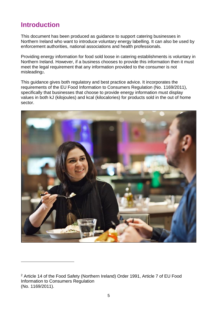# <span id="page-4-0"></span>**Introduction**

This document has been produced as guidance to support catering businesses in Northern Ireland who want to introduce voluntary energy labelling. It can also be used by enforcement authorities, national associations and health professionals.

Providing energy information for food sold loose in catering establishments is voluntary in Northern Ireland. However, if a business chooses to provide this information then it must meet the legal requirement that any information provided to the consumer is not misleading2.

This guidance gives both regulatory and best practice advice. It incorporates the requirements of the EU Food Information to Consumers Regulation (No. 1169/2011), specifically that businesses that choose to provide energy information must display values in both kJ (kilojoules) and kcal (kilocalories) for products sold in the out of home sector.



<sup>2</sup> Article 14 of the Food Safety (Northern Ireland) Order 1991, Article 7 of EU Food Information to Consumers Regulation (No. 1169/2011).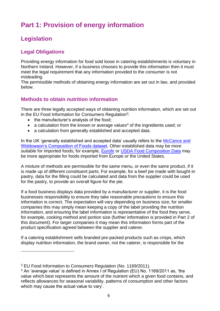# <span id="page-5-0"></span>**Part 1: Provision of energy information**

# <span id="page-5-1"></span>**Legislation**

#### **Legal Obligations**

Providing energy information for food sold loose in catering establishments is voluntary in Northern Ireland. However, if a business chooses to provide this information then it must meet the legal requirement that any information provided to the consumer is not misleading.

The permissible methods of obtaining energy information are set out in law, and provided below.

#### **Methods to obtain nutrition information**

There are three legally accepted ways of obtaining nutrition information, which are set out in the EU Food Information for Consumers Regulation<sup>3</sup>:

- the manufacturer's analysis of the food;
- a calculation from the known or average values<sup>4</sup> of the ingredients used; or
- a calculation from generally established and accepted data.

In the UK 'generally established and accepted data' usually refers to the McCance and [Widdowson's Composition of Foods dataset.](https://www.gov.uk/government/publications/composition-of-foods-integrated-dataset-cofid) Other established data may be more suitable for imported foods; for example, [Eurofir](http://www.eurofir.org/food-information) or [USDA Food Composition Data](https://fdc.nal.usda.gov/) may be more appropriate for foods imported from Europe or the United States.

A mixture of methods are permissible for the same menu, or even the same product, if it is made up of different constituent parts. For example, for a beef pie made with bought-in pastry, data for the filling could be calculated and data from the supplier could be used for the pastry, to provide an overall figure for the pie.

If a food business displays data provided by a manufacturer or supplier, it is the food businesses responsibility to ensure they take reasonable precautions to ensure this information is correct. The expectation will vary depending on business size; for smaller companies this may simply mean keeping a copy of the label providing the nutrition information, and ensuring the label information is representative of the food they serve, for example, cooking method and portion size (further information is provided in Part 2 of this document). For larger companies it may mean this information forms part of the product specification agreed between the supplier and caterer.

If a catering establishment sells branded pre-packed products such as crisps, which display nutrition information, the brand owner, not the caterer, is responsible for the

<sup>&</sup>lt;sup>3</sup> EU Food Information to Consumers Regulation (No. 1169/2011).

<sup>4</sup> An 'average value' is defined in Annex I of Regulation (EU) No. 1169/2011 as, 'the value which best represents the amount of the nutrient which a given food contains, and reflects allowances for seasonal variability, patterns of consumption and other factors which may cause the actual value to vary'.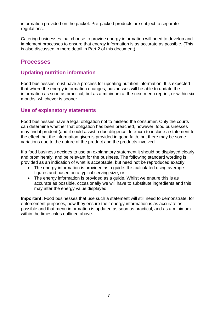information provided on the packet. Pre-packed products are subject to separate regulations.

Catering businesses that choose to provide energy information will need to develop and implement processes to ensure that energy information is as accurate as possible. (This is also discussed in more detail in Part 2 of this document).

## <span id="page-6-0"></span>**Processes**

#### **Updating nutrition information**

Food businesses must have a process for updating nutrition information. It is expected that where the energy information changes, businesses will be able to update the information as soon as practical, but as a minimum at the next menu reprint, or within six months, whichever is sooner.

#### **Use of explanatory statements**

Food businesses have a legal obligation not to mislead the consumer. Only the courts can determine whether that obligation has been breached, however, food businesses may find it prudent (and it could assist a due diligence defence) to include a statement to the effect that the information given is provided in good faith, but there may be some variations due to the nature of the product and the products involved.

If a food business decides to use an explanatory statement it should be displayed clearly and prominently, and be relevant for the business. The following standard wording is provided as an indication of what is acceptable, but need not be reproduced exactly.

- The energy information is provided as a quide. It is calculated using average figures and based on a typical serving size; or
- The energy information is provided as a guide. Whilst we ensure this is as accurate as possible, occasionally we will have to substitute ingredients and this may alter the energy value displayed.

**Important:** Food businesses that use such a statement will still need to demonstrate, for enforcement purposes, how they ensure their energy information is as accurate as possible and that menu information is updated as soon as practical, and as a minimum within the timescales outlined above.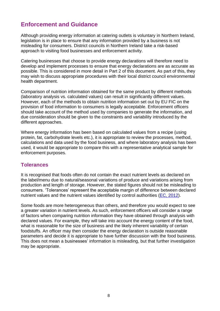# <span id="page-7-0"></span>**Enforcement and Guidance**

Although providing energy information at catering outlets is voluntary in Northern Ireland, legislation is in place to ensure that any information provided by a business is not misleading for consumers. District councils in Northern Ireland take a risk-based approach to visiting food businesses and enforcement activity.

Catering businesses that choose to provide energy declarations will therefore need to develop and implement processes to ensure that energy declarations are as accurate as possible. This is considered in more detail in Part 2 of this document. As part of this, they may wish to discuss appropriate procedures with their local district council environmental health department.

Comparison of nutrition information obtained for the same product by different methods (laboratory analysis vs. calculated values) can result in significantly different values. However, each of the methods to obtain nutrition information set out by EU FIC on the provision of food information to consumers is legally acceptable. Enforcement officers should take account of the method used by companies to generate the information, and due consideration should be given to the constraints and variability introduced by the different approaches.

Where energy information has been based on calculated values from a recipe (using protein, fat, carbohydrate levels etc.), it is appropriate to review the processes, method, calculations and data used by the food business, and where laboratory analysis has been used, it would be appropriate to compare this with a representative analytical sample for enforcement purposes.

#### **Tolerances**

It is recognised that foods often do not contain the exact nutrient levels as declared on the label/menu due to natural/seasonal variations of produce and variations arising from production and length of storage. However, the stated figures should not be misleading to consumers. 'Tolerances' represent the acceptable margin of difference between declared nutrient values and the nutrient values identified by control authorities [\(EC, 2012\)](https://ec.europa.eu/food/sites/food/files/safety/docs/labelling_nutrition-vitamins_minerals-guidance_tolerances_1212_en.pdf).

Some foods are more heterogeneous than others, and therefore you would expect to see a greater variation in nutrient levels. As such, enforcement officers will consider a range of factors when comparing nutrition information they have obtained through analysis with declared values. For example, they will take into account the energy content of the food, what is reasonable for the size of business and the likely inherent variability of certain foodstuffs. An officer may then consider the energy declaration is outside reasonable parameters and decide it is appropriate to have further discussion with the food business. This does not mean a businesses' information is misleading, but that further investigation may be appropriate.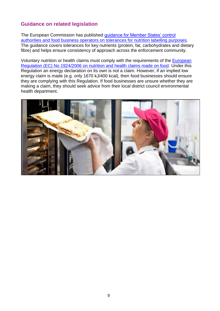#### **Guidance on related legislation**

The European Commission has published [guidance for Member States' control](https://ec.europa.eu/food/system/files/2016-10/labelling_nutrition-vitamins_minerals-guidance_tolerances_1212_en.pdf)  [authorities and food business operators on tolerances for nutrition labelling purposes.](https://ec.europa.eu/food/system/files/2016-10/labelling_nutrition-vitamins_minerals-guidance_tolerances_1212_en.pdf) The guidance covers tolerances for key nutrients (protein, fat, carbohydrates and dietary fibre) and helps ensure consistency of approach across the enforcement community.

Voluntary nutrition or health claims must comply with the requirements of the [European](https://eur-lex.europa.eu/legal-content/en/ALL/?uri=CELEX%3A32006R1924)  [Regulation \(EC\) No 1924/2006 on nutrition and health claims made on food.](https://eur-lex.europa.eu/legal-content/en/ALL/?uri=CELEX%3A32006R1924) Under this Regulation an energy declaration on its own is not a claim. However, if an implied low energy claim is made (e.g. only 1670 kJ/400 kcal), then food businesses should ensure they are complying with this Regulation. If food businesses are unsure whether they are making a claim, they should seek advice from their local district council environmental health department.

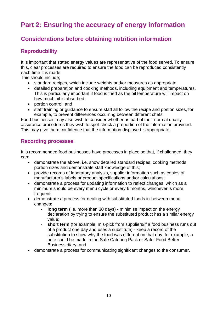# <span id="page-9-0"></span>**Part 2: Ensuring the accuracy of energy information**

# <span id="page-9-1"></span>**Considerations before obtaining nutrition information**

## <span id="page-9-2"></span>**Reproducbility**

It is important that stated energy values are representative of the food served. To ensure this, clear processes are required to ensure the food can be reproduced consistently each time it is made.

This should include;

- standard recipes, which include weights and/or measures as appropriate:
- detailed preparation and cooking methods, including equipment and temperatures. This is particularly important if food is fried as the oil temperature will impact on how much oil is absorbed;
- portion control: and
- staff training or guidance to ensure staff all follow the recipe and portion sizes, for example, to prevent differences occurring between different chefs.

Food businesses may also wish to consider whether as part of their normal quality assurance procedures they wish to spot-check a proportion of the information provided. This may give them confidence that the information displayed is appropriate.

#### <span id="page-9-3"></span>**Recording processes**

It is recommended food businesses have processes in place so that, if challenged, they can:

- demonstrate the above, i.e. show detailed standard recipes, cooking methods, portion sizes and demonstrate staff knowledge of this;
- provide records of laboratory analysis, supplier information such as copies of manufacturer's labels or product specifications and/or calculations;
- demonstrate a process for updating information to reflect changes, which as a minimum should be every menu cycle or every 6 months, whichever is more frequent;
- demonstrate a process for dealing with substituted foods in-between menu changes:
	- **long term** (i.e. more than 30 days) minimise impact on the energy declaration by trying to ensure the substituted product has a similar energy value;
	- **short term** (for example, mis-pick from suppliers/if a food business runs out of a product one day and uses a substitute) - keep a record of the substitution to show why the food was different on that day, for example, a note could be made in the Safe Catering Pack or Safer Food Better Business diary; and
- demonstrate a process for communicating significant changes to the consumer.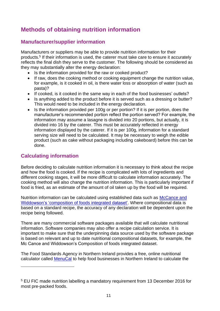# <span id="page-10-0"></span>**Methods of obtaining nutrition information**

### <span id="page-10-1"></span>**Manufacturer/supplier information**

Manufacturers or suppliers may be able to provide nutrition information for their products.<sup>5</sup> If their information is used, the caterer must take care to ensure it accurately reflects the final dish they serve to the customer. The following should be considered as they may substantially alter the energy declaration:

- Is the information provided for the raw or cooked product?
- If raw, does the cooking method or cooking equipment change the nutrition value, for example, is it cooked in oil, is there water loss or absorption of water (such as pasta)?
- If cooked, is it cooked in the same way in each of the food businesses' outlets?
- Is anything added to the product before it is served such as a dressing or butter? This would need to be included in the energy declaration.
- Is the information provided per 100g or per portion? If it is per portion, does the manufacturer's recommended portion reflect the portion served? For example, the information may assume a lasagne is divided into 20 portions, but actually, it is divided into 16 by the caterer. This must be accurately reflected in energy information displayed by the caterer. If it is per 100g, information for a standard serving size will need to be calculated. It may be necessary to weigh the edible product (such as cake without packaging including cakeboard) before this can be done.

#### <span id="page-10-2"></span>**Calculating information**

Before deciding to calculate nutrition information it is necessary to think about the recipe and how the food is cooked. If the recipe is complicated with lots of ingredients and different cooking stages, it will be more difficult to calculate information accurately. The cooking method will also change the nutrition information. This is particularly important if food is fried, as an estimate of the amount of oil taken up by the food will be required.

Nutrition information can be calculated using established data such as [McCance and](https://www.gov.uk/government/publications/composition-of-foods-integrated-dataset-cofid)  [Widdowson's 'composition of foods integrated dataset'.](https://www.gov.uk/government/publications/composition-of-foods-integrated-dataset-cofid) Where compositional data is based on a standard recipe, the accuracy of any declaration will be dependent upon the recipe being followed.

There are many commercial software packages available that will calculate nutritional information. Software companies may also offer a recipe calculation service. It is important to make sure that the underpinning data source used by the software package is based on relevant and up to date nutritional compositional datasets, for example, the Mc Cance and Widdowson's Composition of foods integrated dataset.

The Food Standards Agency in Northern Ireland provides a free, online nutritional calculator called [MenuCal](https://www.menucalni.co.uk/Account/LogOn?ReturnUrl=%2f) to help food businesses in Northern Ireland to calculate the

<sup>5</sup> EU FIC made nutrition labelling a mandatory requirement from 13 December 2016 for most pre-packed foods.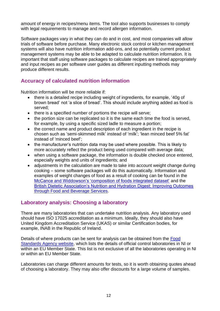amount of energy in recipes/menu items. The tool also supports businesses to comply with legal requirements to manage and record allergen information.

Software packages vary in what they can do and in cost, and most companies will allow trials of software before purchase. Many electronic stock control or kitchen management systems will also have nutrition information add-ons, and so potentially current product management systems may be able to be adapted to calculate nutrition information. It is important that staff using software packages to calculate recipes are trained appropriately and input recipes as per software user guides as different inputting methods may produce different results.

## <span id="page-11-0"></span>**Accuracy of calculated nutrition information**

Nutrition information will be more reliable if:

- there is a detailed recipe including weight of ingredients, for example, '40g of brown bread' not 'a slice of bread'. This should include anything added as food is served;
- there is a specified number of portions the recipe will serve;
- the portion size can be replicated so it is the same each time the food is served, for example, by using a specific sized ladle to measure a portion;
- the correct name and product description of each ingredient in the recipe is chosen such as 'semi-skimmed milk' instead of 'milk'; 'lean minced beef 5% fat' instead of 'minced beef';
- the manufacturer's nutrition data may be used where possible. This is likely to more accurately reflect the product being used compared with average data;
- when using a software package, the information is double checked once entered, especially weights and units of ingredients; and
- adjustments in the calculation are made to take into account weight change during cooking – some software packages will do this automatically. Information and examples of weight changes of food as a result of cooking can be found in the [McCance and Widdowson's 'composition of foods integrated dataset'](https://www.gov.uk/government/publications/composition-of-foods-integrated-dataset-cofid) and the [British Dietetic Association's Nutrition and Hydration Digest: Improving Outcomes](https://www.bda.uk.com/uploads/assets/c24296fe-8b4d-4626-aeebb6cf2d92fccb/NutritionHydrationDigest.pdf)  [through Food and Beverage Services.](https://www.bda.uk.com/uploads/assets/c24296fe-8b4d-4626-aeebb6cf2d92fccb/NutritionHydrationDigest.pdf)

#### <span id="page-11-1"></span>**Laboratory analysis: Choosing a laboratory**

There are many laboratories that can undertake nutrition analysis. Any laboratory used should have ISO 17025 accreditation as a minimum. Ideally, they should also have United Kingdom Accreditation Service (UKAS) or similar Certification bodies, for example, INAB in the Republic of Ireland.

Details of where products can be sent for analysis can be obtained from the [Food](https://www.food.gov.uk/about-us/official-feed-and-food-control-laboratories)  [Standards Agency website,](https://www.food.gov.uk/about-us/official-feed-and-food-control-laboratories) which lists the details of official control laboratories in NI or within an EU Member State. This list is not exclusive of all the laboratories operating in NI or within an EU Member State.

Laboratories can charge different amounts for tests, so it is worth obtaining quotes ahead of choosing a laboratory. They may also offer discounts for a large volume of samples.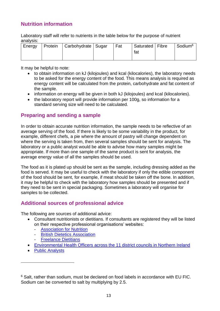## <span id="page-12-0"></span>**Nutrition information**

Laboratory staff will refer to nutrients in the table below for the purpose of nutrient analysis:

| Energy | Protein   Carbohydrate   Sugar | Fat | Saturated   Fibre | $\mid$ Sodium $^6$ |
|--------|--------------------------------|-----|-------------------|--------------------|
|        |                                |     | fat               |                    |
|        |                                |     |                   |                    |

It may be helpful to note:

- to obtain information on kJ (kilojoules) and kcal (kilocalories), the laboratory needs to be asked for the energy content of the food. This means analysis is required as energy content will be calculated from the protein, carbohydrate and fat content of the sample.
- information on energy will be given in both kJ (kilojoules) and kcal (kilocalories).
- the laboratory report will provide information per 100g, so information for a standard serving size will need to be calculated.

#### <span id="page-12-1"></span>**Preparing and sending a sample**

In order to obtain accurate nutrition information, the sample needs to be reflective of an average serving of the food. If there is likely to be some variability in the product, for example, different chefs, a pie where the amount of pastry will change dependent on where the serving is taken from, then several samples should be sent for analysis. The laboratory or a public analyst would be able to advise how many samples might be appropriate. If more than one sample of the same product is sent for analysis, the average energy value of all the samples should be used.

The food as it is plated up should be sent as the sample, including dressing added as the food is served. It may be useful to check with the laboratory if only the edible component of the food should be sent, for example, if meat should be taken off the bone. In addition, it may be helpful to check with the laboratory how samples should be presented and if they need to be sent in special packaging. Sometimes a laboratory will organise for samples to be collected.

#### <span id="page-12-2"></span>**Additional sources of professional advice**

The following are sources of additional advice:

- Consultant nutritionists or dietitians. If consultants are registered they will be listed on their respective professional organisations' websites:
	- **[Association for Nutrition](http://www.associationfornutrition.org/)**
	- **[British Dietetics Association](http://www.bda.uk.com/)**
	- **[Freelance Dietitians](http://www.freelancedietitians.org/)**
- [Environmental Health Officers across the 11 district councils in Northern Ireland](https://www.food.gov.uk/contact/businesses/find-details/contact-a-food-safety-team)
- [Public Analysts](http://www.publicanalyst.com/)

<sup>&</sup>lt;sup>6</sup> Salt, rather than sodium, must be declared on food labels in accordance with EU FIC. Sodium can be converted to salt by multiplying by 2.5.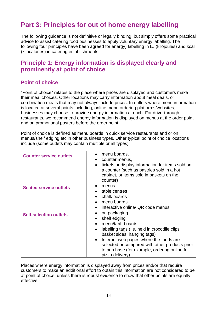# <span id="page-13-0"></span>**Part 3: Principles for out of home energy labelling**

The following guidance is not definitive or legally binding, but simply offers some practical advice to assist catering food businesses to apply voluntary energy labelling. The following four principles have been agreed for energy) labelling in kJ (kilojoules) and kcal (kilocalories) in catering establishments;

## <span id="page-13-1"></span>**Principle 1: Energy information is displayed clearly and prominently at point of choice**

#### **Point of choice**

"Point of choice" relates to the place where prices are displayed and customers make their meal choices. Other locations may carry information about meal deals, or combination meals that may not always include prices. In outlets where menu information is located at several points including, online menu ordering platforms/websites, businesses may choose to provide energy information at each. For drive-through restaurants, we recommend energy information is displayed on menus at the order point and on promotional posters before the order point.

Point of choice is defined as menu boards in quick service restaurants and or on menus/shelf edging etc in other business types. Other typical point of choice locations include (some outlets may contain multiple or all types):

| <b>Counter service outlets</b> | menu boards,<br>$\bullet$<br>counter menus,<br>tickets or display information for items sold on<br>a counter (such as pastries sold in a hot<br>cabinet, or items sold in baskets on the<br>counter)                                                                                                                         |
|--------------------------------|------------------------------------------------------------------------------------------------------------------------------------------------------------------------------------------------------------------------------------------------------------------------------------------------------------------------------|
| <b>Seated service outlets</b>  | menus<br>table centres<br>chalk boards<br>menu boards<br>interactive online/ QR code menus                                                                                                                                                                                                                                   |
| <b>Self-selection outlets</b>  | on packaging<br>shelf edging<br>$\bullet$<br>menu/tariff boards<br>labelling tags (i.e. held in crocodile clips,<br>basket sides, hanging tags)<br>Internet web pages where the foods are<br>$\bullet$<br>selected or compared with other products prior<br>to purchase (for example, ordering online for<br>pizza delivery) |

Places where energy information is displayed away from prices and/or that require customers to make an additional effort to obtain this information are not considered to be at point of choice, unless there is robust evidence to show that other points are equally effective.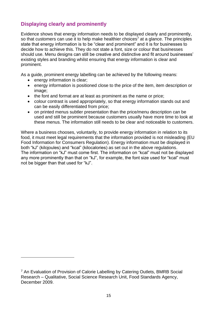## **Displaying clearly and prominently**

Evidence shows that energy information needs to be displayed clearly and prominently, so that customers can use it to help make healthier choices<sup>7</sup> at a glance. The principles state that energy information is to be "clear and prominent" and it is for businesses to decide how to achieve this. They do not state a font, size or colour that businesses should use. Menu designs can still be creative and distinctive and fit around businesses' existing styles and branding whilst ensuring that energy information is clear and prominent.

As a guide, prominent energy labelling can be achieved by the following means:

- energy information is clear;
- energy information is positioned close to the price of the item, item description or image;
- the font and format are at least as prominent as the name or price:
- colour contrast is used appropriately, so that energy information stands out and can be easily differentiated from price;
- on printed menus subtler presentation than the price/menu description can be used and still be prominent because customers usually have more time to look at these menus. The information still needs to be clear and noticeable to customers.

Where a business chooses, voluntarily, to provide energy information in relation to its food, it must meet legal requirements that the information provided is not misleading (EU Food Information for Consumers Regulation). Energy information must be displayed in both "kJ" (kilojoules) and "kcal" (kilocalories) as set out in the above regulations. The information on "kJ" must come first. The information on "kcal" must not be displayed any more prominently than that on "kJ", for example, the font size used for "kcal" must not be bigger than that used for "kJ".

<sup>&</sup>lt;sup>7</sup> An Evaluation of Provision of Calorie Labelling by Catering Outlets, BMRB Social Research – Qualitative, Social Science Research Unit, Food Standards Agency, December 2009.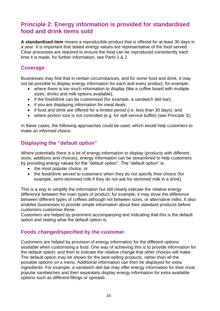# <span id="page-15-0"></span>**Principle 2: Energy information is provided for standardised food and drink items sold**

**A standardised item** means a reproducible product that is offered for at least 30 days in a year. It is important that stated energy values are representative of the food served. Clear processes are required to ensure the food can be reproduced consistently each time it is made, for further information, see Parts 1 & 2.

#### **Coverage**

Businesses may find that in certain circumstances, and for some food and drink, it may not be possible to display energy information for each and every product, for example:

- where there is too much information to display (like a coffee board with multiple sizes, drinks and milk options available);
- if the food/drink can be customised (for example, a sandwich deli bar);
- if you are displaying information for meal deals;
- if food and drink are offered for a limited period (i.e. less than 30 days); and
- where portion size is not controlled (e.g. for self-service buffet) (see Principle 3);

In these cases, the following approaches could be used, which would help customers to make an informed choice.

#### **Displaying the "default option"**

Where potentially there is a lot of energy information to display (products with different sizes, additions and choices), energy information can be streamlined to help customers by providing energy values for the "default option". The "default option" is:

- the most popular choice, or
- the food/drink served to customers when they do not specify their choice (for example, semi-skimmed milk if they do not ask for skimmed milk in a drink).

This is a way to simplify the information but still clearly indicate the relative energy difference between the main types of product; for example, it may show the difference between different types of coffees although not between sizes, or alternative milks. It also enables businesses to provide simple information about their standard products before customers customise these.

Customers are helped by prominent accompanying text indicating that this is the default option and stating what the default option is.

#### **Foods changed/specified by the customer**

Customers are helped by provision of energy information for the different options available when customising a food. One way of achieving this is to provide information for the default option, and then to indicate the relative change that other choices will make. The default option may be shown for the best-selling products, rather than all the possible options on a menu. Additional information can then be displayed for extra ingredients. For example, a sandwich deli bar may offer energy information for their most popular sandwiches and then separately display energy information for extra available options such as different fillings or spreads.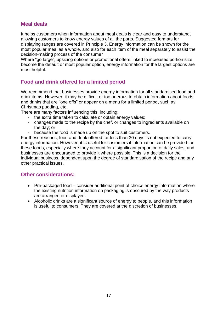#### **Meal deals**

It helps customers when information about meal deals is clear and easy to understand, allowing customers to know energy values of all the parts. Suggested formats for displaying ranges are covered in Principle 3. Energy information can be shown for the most popular meal as a whole, and also for each item of the meal separately to assist the decision-making process of the consumer

Where "go large", upsizing options or promotional offers linked to increased portion size become the default or most popular option, energy information for the largest options are most helpful.

## **Food and drink offered for a limited period**

We recommend that businesses provide energy information for all standardised food and drink items. However, it may be difficult or too onerous to obtain information about foods and drinks that are "one offs" or appear on a menu for a limited period, such as Christmas pudding, etc.

There are many factors influencing this, including:

- the extra time taken to calculate or obtain energy values;
- changes made to the recipe by the chef, or changes to ingredients available on the day; or
- because the food is made up on the spot to suit customers.

For these reasons, food and drink offered for less than 30 days is not expected to carry energy information. However, it is useful for customers if information can be provided for these foods, especially where they account for a significant proportion of daily sales, and businesses are encouraged to provide it where possible. This is a decision for the individual business, dependent upon the degree of standardisation of the recipe and any other practical issues.

#### **Other considerations:**

- Pre-packaged food consider additional point of choice energy information where the existing nutrition information on packaging is obscured by the way products are arranged or displayed.
- Alcoholic drinks are a significant source of energy to people, and this information is useful to consumers. They are covered at the discretion of businesses.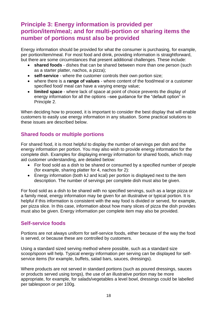# <span id="page-17-0"></span>**Principle 3: Energy information is provided per portion/item/meal; and for multi-portion or sharing items the number of portions must also be provided**

Energy information should be provided for what the consumer is purchasing, for example, per portion/item/meal. For most food and drink, providing information is straightforward, but there are some circumstances that present additional challenges. These include:

- **shared foods** dishes that can be shared between more than one person (such as a starter platter, nachos, a pizza);
- **self-service** where the customer controls their own portion size;
- where there is a **range of values** where content of the food/meal or a customer specified food/ meal can have a varying energy value;
- **limited space** where lack of space at point of choice prevents the display of energy information for all the options –see guidance for the "default option" in Principle 2.

When deciding how to proceed, it is important to consider the best display that will enable customers to easily use energy information in any situation. Some practical solutions to these issues are described below.

## **Shared foods or multiple portions**

For shared food, it is most helpful to display the number of servings per dish and the energy information per portion. You may also wish to provide energy information for the complete dish. Examples for displaying energy information for shared foods, which may aid customer understanding, are detailed below:

- For food sold as a dish to be shared or consumed by a specified number of people (for example, sharing platter for 4, nachos for 2):
- Energy information (both kJ and kcal) per portion is displayed next to the item description. The number of servings per complete dish must also be given.

For food sold as a dish to be shared with no specified servings, such as a large pizza or a family meal, energy information may be given for an illustrative or typical portion. It is helpful if this information is consistent with the way food is divided or served, for example, per pizza slice. In this case, information about how many slices of pizza the dish provides must also be given. Energy information per complete item may also be provided.

#### **Self-service foods**

Portions are not always uniform for self-service foods, either because of the way the food is served, or because these are controlled by customers.

Using a standard sized serving method where possible, such as a standard size scoop/spoon will help. Typical energy information per serving can be displayed for selfservice items (for example, buffets, salad bars, sauces, dressings).

Where products are not served in standard portions (such as poured dressings, sauces or products served using tongs), the use of an illustrative portion may be more appropriate, for example, for salads/vegetables a level bowl, dressings could be labelled per tablespoon or per 100g.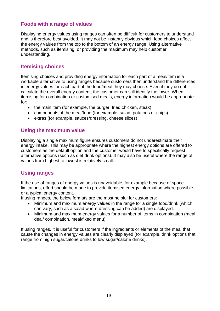#### **Foods with a range of values**

Displaying energy values using ranges can often be difficult for customers to understand and is therefore best avoided. It may not be instantly obvious which food choices affect the energy values from the top to the bottom of an energy range. Using alternative methods, such as itemising, or providing the maximum may help customer understanding.

#### **Itemising choices**

Itemising choices and providing energy information for each part of a meal/item is a workable alternative to using ranges because customers then understand the differences in energy values for each part of the food/meal they may choose. Even if they do not calculate the overall energy content, the customer can still identify the lower. When itemising for combination or customised meals, energy information would be appropriate for:

- the main item (for example, the burger, fried chicken, steak)
- components of the meal/food (for example, salad, potatoes or chips)
- extras (for example, sauces/dressing, cheese slices)

#### **Using the maximum value**

Displaying a single maximum figure ensures customers do not underestimate their energy intake. This may be appropriate where the highest energy options are offered to customers as the default option and the customer would have to specifically request alternative options (such as diet drink options). It may also be useful where the range of values from highest to lowest is relatively small.

#### **Using ranges**

If the use of ranges of energy values is unavoidable, for example because of space limitations, effort should be made to provide itemised energy information where possible or a typical energy content.

If using ranges, the below formats are the most helpful for customers:

- Minimum and maximum energy values in the range for a single food/drink (which can vary, such as a salad where dressing can be added) are displayed.
- Minimum and maximum energy values for a number of items in combination (meal deal/ combination, meal/fixed menu).

If using ranges, it is useful for customers if the ingredients or elements of the meal that cause the changes in energy values are clearly displayed (for example, drink options that range from high sugar/calorie drinks to low sugar/calorie drinks).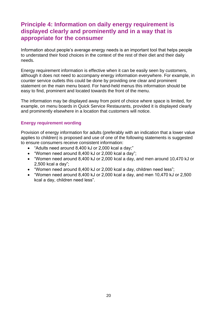# <span id="page-19-0"></span>**Principle 4: Information on daily energy requirement is displayed clearly and prominently and in a way that is appropriate for the consumer**

Information about people's average energy needs is an important tool that helps people to understand their food choices in the context of the rest of their diet and their daily needs.

Energy requirement information is effective when it can be easily seen by customers, although it does not need to accompany energy information everywhere. For example, in counter service outlets this could be done by providing one clear and prominent statement on the main menu board. For hand-held menus this information should be easy to find, prominent and located towards the front of the menu.

The information may be displayed away from point of choice where space is limited, for example, on menu boards in Quick Service Restaurants, provided it is displayed clearly and prominently elsewhere in a location that customers will notice.

#### **Energy requirement wording**

Provision of energy information for adults (preferably with an indication that a lower value applies to children) is proposed and use of one of the following statements is suggested to ensure consumers receive consistent information:

- "Adults need around 8,400 kJ or 2,000 kcal a day;"
- "Women need around 8,400 kJ or 2,000 kcal a day";
- "Women need around 8,400 kJ or 2,000 kcal a day, and men around 10,470 kJ or 2,500 kcal a day";
- "Women need around 8,400 kJ or 2,000 kcal a day, children need less";
- "Women need around 8,400 kJ or 2,000 kcal a day, and men 10,470 kJ or 2,500 kcal a day, children need less".